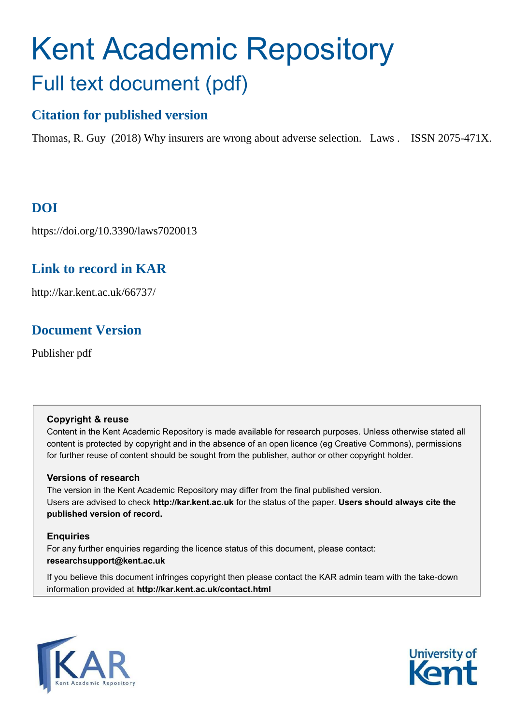# Kent Academic Repository Full text document (pdf)

# **Citation for published version**

Thomas, R. Guy (2018) Why insurers are wrong about adverse selection. Laws . ISSN 2075-471X.

# **DOI**

https://doi.org/10.3390/laws7020013

## **Link to record in KAR**

http://kar.kent.ac.uk/66737/

## **Document Version**

Publisher pdf

## **Copyright & reuse**

Content in the Kent Academic Repository is made available for research purposes. Unless otherwise stated all content is protected by copyright and in the absence of an open licence (eg Creative Commons), permissions for further reuse of content should be sought from the publisher, author or other copyright holder.

## **Versions of research**

The version in the Kent Academic Repository may differ from the final published version. Users are advised to check **http://kar.kent.ac.uk** for the status of the paper. **Users should always cite the published version of record.**

## **Enquiries**

For any further enquiries regarding the licence status of this document, please contact: **researchsupport@kent.ac.uk**

If you believe this document infringes copyright then please contact the KAR admin team with the take-down information provided at **http://kar.kent.ac.uk/contact.html**



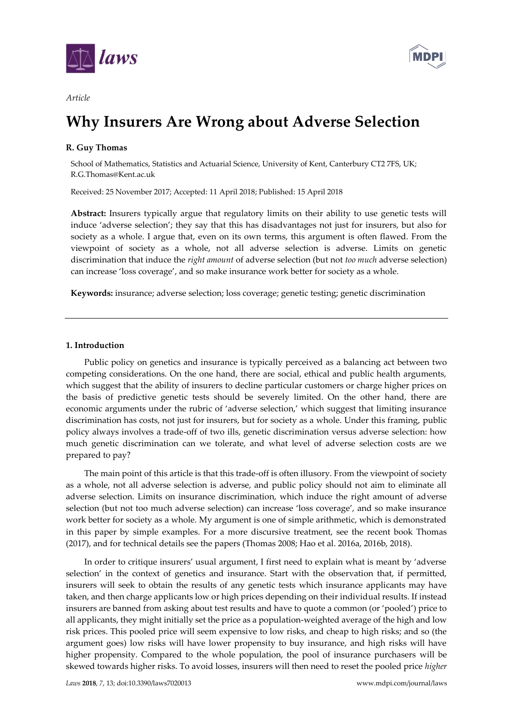



#### *Article*

# **Why Insurers Are Wrong about Adverse Selection**

### **R. Guy Thomas**

School of Mathematics, Statistics and Actuarial Science, University of Kent, Canterbury CT2 7FS, UK; R.G.Thomas@Kent.ac.uk

Received: 25 November 2017; Accepted: 11 April 2018; Published: 15 April 2018

**Abstract:** Insurers typically argue that regulatory limits on their ability to use genetic tests will induce 'adverse selection'; they say that this has disadvantages not just for insurers, but also for society as a whole. I argue that, even on its own terms, this argument is often flawed. From the viewpoint of society as a whole, not all adverse selection is adverse. Limits on genetic discrimination that induce the *right amount* of adverse selection (but not *too much* adverse selection) can increase 'loss coverage', and so make insurance work better for society as a whole.

**Keywords:** insurance; adverse selection; loss coverage; genetic testing; genetic discrimination

#### **1. Introduction**

Public policy on genetics and insurance is typically perceived as a balancing act between two competing considerations. On the one hand, there are social, ethical and public health arguments, which suggest that the ability of insurers to decline particular customers or charge higher prices on the basis of predictive genetic tests should be severely limited. On the other hand, there are economic arguments under the rubric of 'adverse selection,' which suggest that limiting insurance discrimination has costs, not just for insurers, but for society as a whole. Under this framing, public policy always involves a trade-off of two ills, genetic discrimination versus adverse selection: how much genetic discrimination can we tolerate, and what level of adverse selection costs are we prepared to pay?

The main point of this article is that this trade-off is often illusory. From the viewpoint of society as a whole, not all adverse selection is adverse, and public policy should not aim to eliminate all adverse selection. Limits on insurance discrimination, which induce the right amount of adverse selection (but not too much adverse selection) can increase 'loss coverage', and so make insurance work better for society as a whole. My argument is one of simple arithmetic, which is demonstrated in this paper by simple examples. For a more discursive treatment, see the recent book Thomas (2017), and for technical details see the papers (Thomas 2008; Hao et al. 2016a, 2016b, 2018).

In order to critique insurers' usual argument, I first need to explain what is meant by 'adverse selection' in the context of genetics and insurance. Start with the observation that, if permitted, insurers will seek to obtain the results of any genetic tests which insurance applicants may have taken, and then charge applicants low or high prices depending on their individual results. If instead insurers are banned from asking about test results and have to quote a common (or 'pooled') price to all applicants, they might initially set the price as a population-weighted average of the high and low risk prices. This pooled price will seem expensive to low risks, and cheap to high risks; and so (the argument goes) low risks will have lower propensity to buy insurance, and high risks will have higher propensity. Compared to the whole population, the pool of insurance purchasers will be skewed towards higher risks. To avoid losses, insurers will then need to reset the pooled price *higher*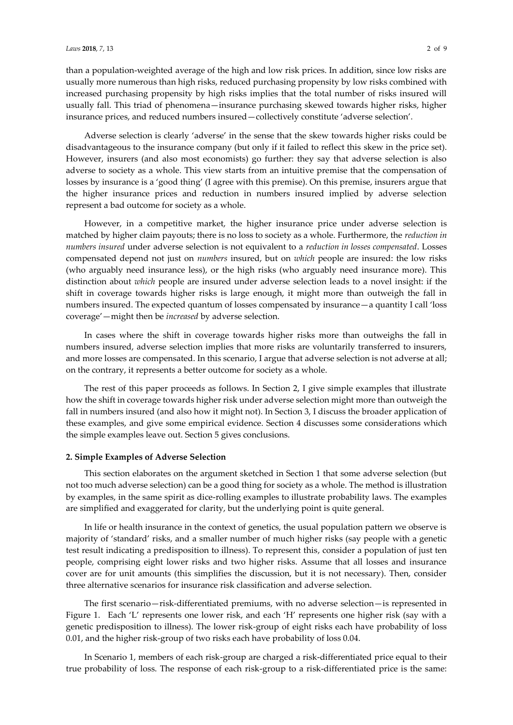than a population-weighted average of the high and low risk prices. In addition, since low risks are usually more numerous than high risks, reduced purchasing propensity by low risks combined with increased purchasing propensity by high risks implies that the total number of risks insured will usually fall. This triad of phenomena-insurance purchasing skewed towards higher risks, higher insurance prices, and reduced numbers insured - collectively constitute 'adverse selection'.

Adverse selection is clearly 'adverse' in the sense that the skew towards higher risks could be disadvantageous to the insurance company (but only if it failed to reflect this skew in the price set). However, insurers (and also most economists) go further: they say that adverse selection is also adverse to society as a whole. This view starts from an intuitive premise that the compensation of losses by insurance is a 'good thing' (I agree with this premise). On this premise, insurers argue that the higher insurance prices and reduction in numbers insured implied by adverse selection represent a bad outcome for society as a whole.

However, in a competitive market, the higher insurance price under adverse selection is matched by higher claim payouts; there is no loss to society as a whole. Furthermore, the *reduction in numbers insured* under adverse selection is not equivalent to a *reduction in losses compensated*. Losses compensated depend not just on *numbers* insured, but on *which* people are insured: the low risks (who arguably need insurance less), or the high risks (who arguably need insurance more). This distinction about *which* people are insured under adverse selection leads to a novel insight: if the shift in coverage towards higher risks is large enough, it might more than outweigh the fall in numbers insured. The expected quantum of losses compensated by insurance - a quantity I call 'loss coverage'—might then be *increased* by adverse selection.

In cases where the shift in coverage towards higher risks more than outweighs the fall in numbers insured, adverse selection implies that more risks are voluntarily transferred to insurers, and more losses are compensated. In this scenario, I argue that adverse selection is not adverse at all; on the contrary, it represents a better outcome for society as a whole.

The rest of this paper proceeds as follows. In Section 2, I give simple examples that illustrate how the shift in coverage towards higher risk under adverse selection might more than outweigh the fall in numbers insured (and also how it might not). In Section 3, I discuss the broader application of these examples, and give some empirical evidence. Section 4 discusses some considerations which the simple examples leave out. Section 5 gives conclusions.

#### **2. Simple Examples of Adverse Selection**

This section elaborates on the argument sketched in Section 1 that some adverse selection (but not too much adverse selection) can be a good thing for society as a whole. The method is illustration by examples, in the same spirit as dice-rolling examples to illustrate probability laws. The examples are simplified and exaggerated for clarity, but the underlying point is quite general.

In life or health insurance in the context of genetics, the usual population pattern we observe is majority of 'standard' risks, and a smaller number of much higher risks (say people with a genetic test result indicating a predisposition to illness). To represent this, consider a population of just ten people, comprising eight lower risks and two higher risks. Assume that all losses and insurance cover are for unit amounts (this simplifies the discussion, but it is not necessary). Then, consider three alternative scenarios for insurance risk classification and adverse selection.

The first scenario-risk-differentiated premiums, with no adverse selection-is represented in Figure 1. Each 'L' represents one lower risk, and each 'H' represents one higher risk (say with a genetic predisposition to illness). The lower risk-group of eight risks each have probability of loss 0.01, and the higher risk-group of two risks each have probability of loss 0.04.

In Scenario 1, members of each risk-group are charged a risk-differentiated price equal to their true probability of loss. The response of each risk-group to a risk-differentiated price is the same: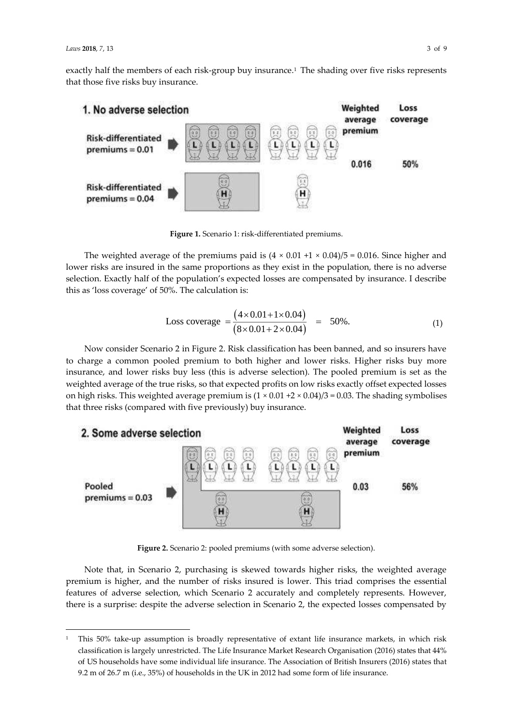l

exactly half the members of each risk-group buy insurance.<sup>1</sup> The shading over five risks represents that those five risks buy insurance.



**Figure 1.** Scenario 1: risk-differentiated premiums.

The weighted average of the premiums paid is  $(4 \times 0.01 + 1 \times 0.04)/5 = 0.016$ . Since higher and lower risks are insured in the same proportions as they exist in the population, there is no adverse selection. Exactly half of the population's expected losses are compensated by insurance. I describe this as 'loss coverage' of 50%. The calculation is:

Loss coverage = 
$$
\frac{(4 \times 0.01 + 1 \times 0.04)}{(8 \times 0.01 + 2 \times 0.04)} = 50\%.
$$
 (1)

Now consider Scenario 2 in Figure 2. Risk classification has been banned, and so insurers have to charge a common pooled premium to both higher and lower risks. Higher risks buy more insurance, and lower risks buy less (this is adverse selection). The pooled premium is set as the weighted average of the true risks, so that expected profits on low risks exactly offset expected losses on high risks. This weighted average premium is  $(1 \times 0.01 + 2 \times 0.04)/3 = 0.03$ . The shading symbolises that three risks (compared with five previously) buy insurance.



**Figure 2.** Scenario 2: pooled premiums (with some adverse selection).

Note that, in Scenario 2, purchasing is skewed towards higher risks, the weighted average premium is higher, and the number of risks insured is lower. This triad comprises the essential features of adverse selection, which Scenario 2 accurately and completely represents. However, there is a surprise: despite the adverse selection in Scenario 2, the expected losses compensated by

<sup>1</sup> This 50% take-up assumption is broadly representative of extant life insurance markets, in which risk classification is largely unrestricted. The Life Insurance Market Research Organisation (2016) states that 44% of US households have some individual life insurance. The Association of British Insurers (2016) states that 9.2 m of 26.7 m (i.e., 35%) of households in the UK in 2012 had some form of life insurance.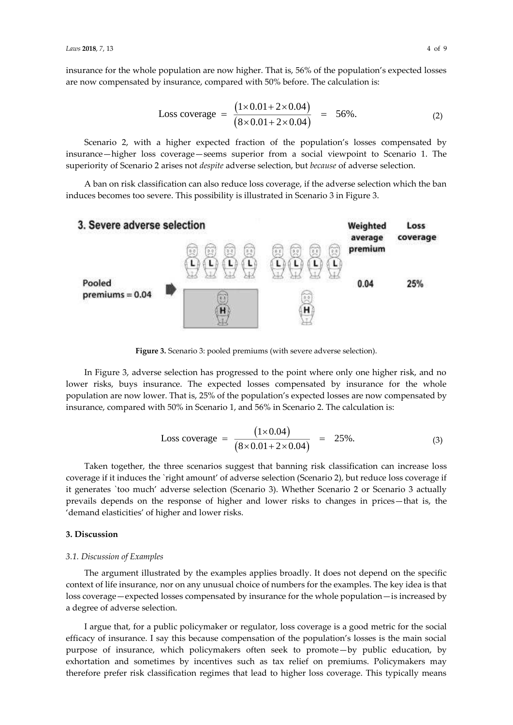insurance for the whole population are now higher. That is, 56% of the population's expected losses are now compensated by insurance, compared with 50% before. The calculation is:

Loss coverage = 
$$
\frac{(1 \times 0.01 + 2 \times 0.04)}{(8 \times 0.01 + 2 \times 0.04)} = 56\%.
$$
 (2)

Scenario 2, with a higher expected fraction of the population's losses compensated by insurance—higher loss coverage—seems superior from a social viewpoint to Scenario 1. The superiority of Scenario 2 arises not *despite* adverse selection, but *because* of adverse selection.

A ban on risk classification can also reduce loss coverage, if the adverse selection which the ban induces becomes too severe. This possibility is illustrated in Scenario 3 in Figure 3.



**Figure 3.** Scenario 3: pooled premiums (with severe adverse selection).

In Figure 3, adverse selection has progressed to the point where only one higher risk, and no lower risks, buys insurance. The expected losses compensated by insurance for the whole population are now lower. That is, 25% of the population's expected losses are now compensated by insurance, compared with 50% in Scenario 1, and 56% in Scenario 2. The calculation is:

Loss coverage = 
$$
\frac{(1 \times 0.04)}{(8 \times 0.01 + 2 \times 0.04)} = 25\%.
$$
 (3)

Taken together, the three scenarios suggest that banning risk classification can increase loss coverage if it induces the `right amount' of adverse selection (Scenario 2), but reduce loss coverage if it generates `too much' adverse selection (Scenario 3). Whether Scenario 2 or Scenario 3 actually prevails depends on the response of higher and lower risks to changes in prices—that is, the 'demand elasticities' of higher and lower risks.

#### **3. Discussion**

#### *3.1. Discussion of Examples*

The argument illustrated by the examples applies broadly. It does not depend on the specific context of life insurance, nor on any unusual choice of numbers for the examples. The key idea is that loss coverage - expected losses compensated by insurance for the whole population - is increased by a degree of adverse selection.

I argue that, for a public policymaker or regulator, loss coverage is a good metric for the social efficacy of insurance. I say this because compensation of the population's losses is the main social purpose of insurance, which policymakers often seek to promote-by public education, by exhortation and sometimes by incentives such as tax relief on premiums. Policymakers may therefore prefer risk classification regimes that lead to higher loss coverage. This typically means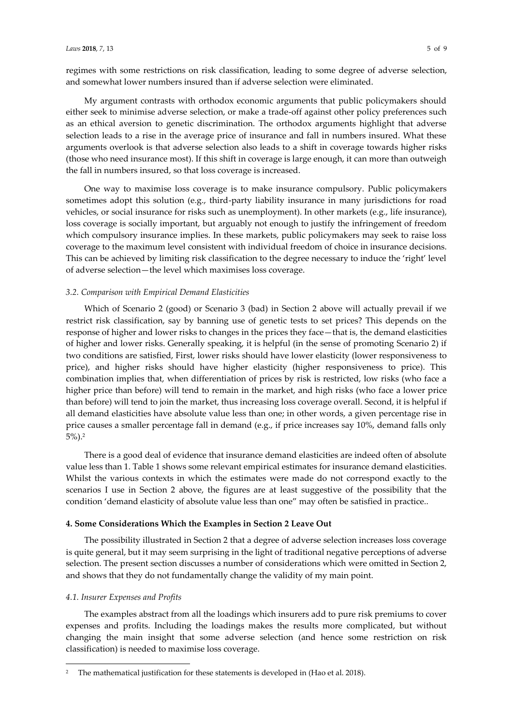regimes with some restrictions on risk classification, leading to some degree of adverse selection, and somewhat lower numbers insured than if adverse selection were eliminated.

My argument contrasts with orthodox economic arguments that public policymakers should either seek to minimise adverse selection, or make a trade-off against other policy preferences such as an ethical aversion to genetic discrimination. The orthodox arguments highlight that adverse selection leads to a rise in the average price of insurance and fall in numbers insured. What these arguments overlook is that adverse selection also leads to a shift in coverage towards higher risks (those who need insurance most). If this shift in coverage is large enough, it can more than outweigh the fall in numbers insured, so that loss coverage is increased.

One way to maximise loss coverage is to make insurance compulsory. Public policymakers sometimes adopt this solution (e.g., third-party liability insurance in many jurisdictions for road vehicles, or social insurance for risks such as unemployment). In other markets (e.g., life insurance), loss coverage is socially important, but arguably not enough to justify the infringement of freedom which compulsory insurance implies. In these markets, public policymakers may seek to raise loss coverage to the maximum level consistent with individual freedom of choice in insurance decisions. This can be achieved by limiting risk classification to the degree necessary to induce the 'right' level of adverse selection-the level which maximises loss coverage.

#### *3.2. Comparison with Empirical Demand Elasticities*

Which of Scenario 2 (good) or Scenario 3 (bad) in Section 2 above will actually prevail if we restrict risk classification, say by banning use of genetic tests to set prices? This depends on the response of higher and lower risks to changes in the prices they face-that is, the demand elasticities of higher and lower risks. Generally speaking, it is helpful (in the sense of promoting Scenario 2) if two conditions are satisfied, First, lower risks should have lower elasticity (lower responsiveness to price), and higher risks should have higher elasticity (higher responsiveness to price). This combination implies that, when differentiation of prices by risk is restricted, low risks (who face a higher price than before) will tend to remain in the market, and high risks (who face a lower price than before) will tend to join the market, thus increasing loss coverage overall. Second, it is helpful if all demand elasticities have absolute value less than one; in other words, a given percentage rise in price causes a smaller percentage fall in demand (e.g., if price increases say 10%, demand falls only 5%).<sup>2</sup>

There is a good deal of evidence that insurance demand elasticities are indeed often of absolute value less than 1. Table 1 shows some relevant empirical estimates for insurance demand elasticities. Whilst the various contexts in which the estimates were made do not correspond exactly to the scenarios I use in Section 2 above, the figures are at least suggestive of the possibility that the condition 'demand elasticity of absolute value less than one" may often be satisfied in practice..

#### **4. Some Considerations Which the Examples in Section 2 Leave Out**

The possibility illustrated in Section 2 that a degree of adverse selection increases loss coverage is quite general, but it may seem surprising in the light of traditional negative perceptions of adverse selection. The present section discusses a number of considerations which were omitted in Section 2, and shows that they do not fundamentally change the validity of my main point.

#### *4.1. Insurer Expenses and Profits*

l

The examples abstract from all the loadings which insurers add to pure risk premiums to cover expenses and profits. Including the loadings makes the results more complicated, but without changing the main insight that some adverse selection (and hence some restriction on risk classification) is needed to maximise loss coverage.

<sup>2</sup> The mathematical justification for these statements is developed in (Hao et al. 2018).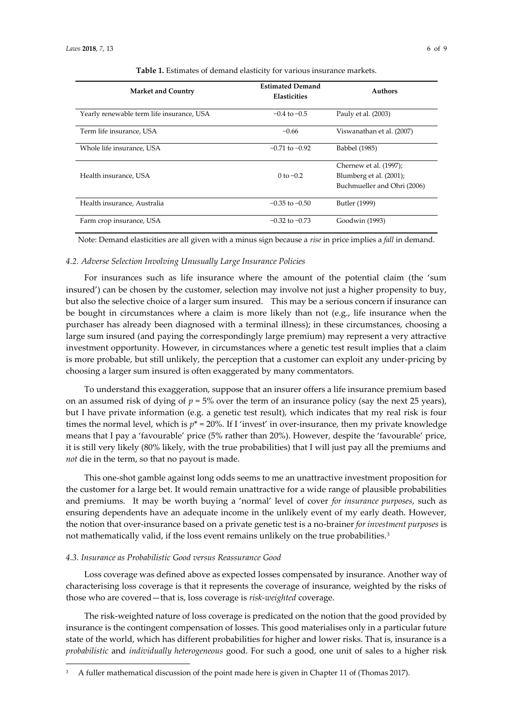| <b>Market and Country</b>                 | <b>Estimated Demand</b><br><b>Elasticities</b> | <b>Authors</b>              |
|-------------------------------------------|------------------------------------------------|-----------------------------|
| Yearly renewable term life insurance, USA | $-0.4$ to $-0.5$                               | Pauly et al. (2003)         |
| Term life insurance, USA                  | $-0.66$                                        | Viswanathan et al. (2007)   |
| Whole life insurance, USA                 | $-0.71$ to $-0.92$                             | Babbel (1985)               |
|                                           |                                                | Chernew et al. (1997);      |
| Health insurance, USA                     | 0 to $-0.2$                                    | Blumberg et al. (2001);     |
|                                           |                                                | Buchmueller and Ohri (2006) |
| Health insurance, Australia               | $-0.35$ to $-0.50$                             | Butler (1999)               |
| Farm crop insurance, USA                  | $-0.32$ to $-0.73$                             | Goodwin (1993)              |

**Table 1.** Estimates of demand elasticity for various insurance markets.

Note: Demand elasticities are all given with a minus sign because a *rise* in price implies a *fall* in demand.

#### *4.2. Adverse Selection Involving Unusually Large Insurance Policies*

For insurances such as life insurance where the amount of the potential claim (the 'sum insured') can be chosen by the customer, selection may involve not just a higher propensity to buy, but also the selective choice of a larger sum insured. This may be a serious concern if insurance can be bought in circumstances where a claim is more likely than not (e.g., life insurance when the purchaser has already been diagnosed with a terminal illness); in these circumstances, choosing a large sum insured (and paying the correspondingly large premium) may represent a very attractive investment opportunity. However, in circumstances where a genetic test result implies that a claim is more probable, but still unlikely, the perception that a customer can exploit any under-pricing by choosing a larger sum insured is often exaggerated by many commentators.

To understand this exaggeration, suppose that an insurer offers a life insurance premium based on an assumed risk of dying of  $p = 5%$  over the term of an insurance policy (say the next 25 years), but I have private information (e.g. a genetic test result), which indicates that my real risk is four times the normal level, which is  $p^* = 20\%$ . If I 'invest' in over-insurance, then my private knowledge means that I pay a 'favourable' price (5% rather than 20%). However, despite the 'favourable' price, it is still very likely (80% likely, with the true probabilities) that I will just pay all the premiums and *not* die in the term, so that no payout is made.

This one-shot gamble against long odds seems to me an unattractive investment proposition for the customer for a large bet. It would remain unattractive for a wide range of plausible probabilities and premiums. It may be worth buying a 'normal' level of cover *for insurance purposes*, such as ensuring dependents have an adequate income in the unlikely event of my early death. However, the notion that over-insurance based on a private genetic test is a no-brainer *for investment purposes* is not mathematically valid, if the loss event remains unlikely on the true probabilities. $^3$ 

#### *4.3. Insurance as Probabilistic Good versus Reassurance Good*

l

Loss coverage was defined above as expected losses compensated by insurance. Another way of characterising loss coverage is that it represents the coverage of insurance, weighted by the risks of those who are covered-that is, loss coverage is *risk-weighted* coverage.

The risk-weighted nature of loss coverage is predicated on the notion that the good provided by insurance is the contingent compensation of losses. This good materialises only in a particular future state of the world, which has different probabilities for higher and lower risks. That is, insurance is a *probabilistic* and *individually heterogeneous* good. For such a good, one unit of sales to a higher risk

<sup>3</sup> A fuller mathematical discussion of the point made here is given in Chapter 11 of (Thomas 2017).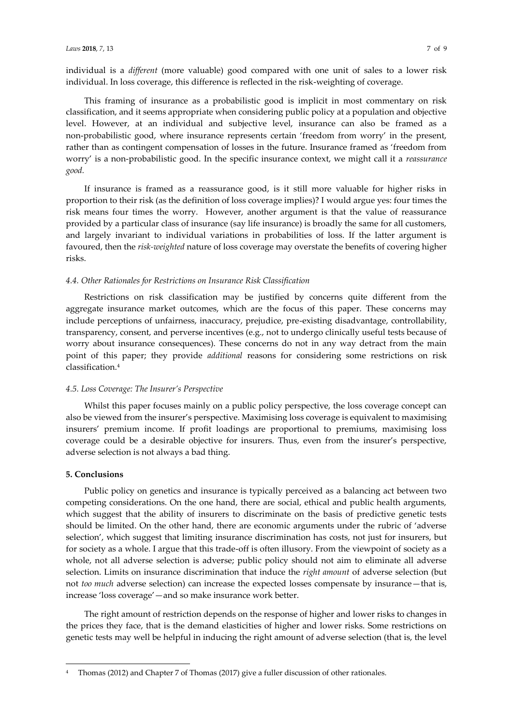individual is a *different* (more valuable) good compared with one unit of sales to a lower risk individual. In loss coverage, this difference is reflected in the risk-weighting of coverage.

This framing of insurance as a probabilistic good is implicit in most commentary on risk classification, and it seems appropriate when considering public policy at a population and objective level. However, at an individual and subjective level, insurance can also be framed as a non-probabilistic good, where insurance represents certain 'freedom from worry' in the present, rather than as contingent compensation of losses in the future. Insurance framed as 'freedom from worry' is a non-probabilistic good. In the specific insurance context, we might call it a *reassurance good.* 

If insurance is framed as a reassurance good, is it still more valuable for higher risks in proportion to their risk (as the definition of loss coverage implies)? I would argue yes: four times the risk means four times the worry. However, another argument is that the value of reassurance provided by a particular class of insurance (say life insurance) is broadly the same for all customers, and largely invariant to individual variations in probabilities of loss. If the latter argument is favoured, then the *risk-weighted* nature of loss coverage may overstate the benefits of covering higher risks.

#### *4.4. Other Rationales for Restrictions on Insurance Risk Classification*

Restrictions on risk classification may be justified by concerns quite different from the aggregate insurance market outcomes, which are the focus of this paper. These concerns may include perceptions of unfairness, inaccuracy, prejudice, pre-existing disadvantage, controllability, transparency, consent, and perverse incentives (e.g., not to undergo clinically useful tests because of worry about insurance consequences). These concerns do not in any way detract from the main point of this paper; they provide *additional* reasons for considering some restrictions on risk classification.<sup>4</sup>

#### **4.5. Loss Coverage: The Insurer's Perspective**

Whilst this paper focuses mainly on a public policy perspective, the loss coverage concept can also be viewed from the insurer's perspective. Maximising loss coverage is equivalent to maximising insurers' premium income. If profit loadings are proportional to premiums, maximising loss coverage could be a desirable objective for insurers. Thus, even from the insurer's perspective, adverse selection is not always a bad thing.

#### **5. Conclusions**

l

Public policy on genetics and insurance is typically perceived as a balancing act between two competing considerations. On the one hand, there are social, ethical and public health arguments, which suggest that the ability of insurers to discriminate on the basis of predictive genetic tests should be limited. On the other hand, there are economic arguments under the rubric of 'adverse selection', which suggest that limiting insurance discrimination has costs, not just for insurers, but for society as a whole. I argue that this trade-off is often illusory. From the viewpoint of society as a whole, not all adverse selection is adverse; public policy should not aim to eliminate all adverse selection. Limits on insurance discrimination that induce the *right amount* of adverse selection (but not *too much* adverse selection) can increase the expected losses compensate by insurance—that is, increase 'loss coverage'—and so make insurance work better.

The right amount of restriction depends on the response of higher and lower risks to changes in the prices they face, that is the demand elasticities of higher and lower risks. Some restrictions on genetic tests may well be helpful in inducing the right amount of adverse selection (that is, the level

<sup>4</sup> Thomas (2012) and Chapter 7 of Thomas (2017) give a fuller discussion of other rationales.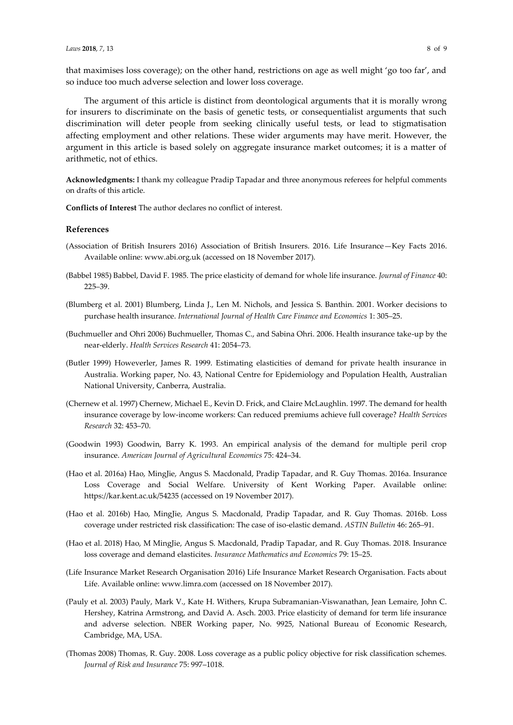that maximises loss coverage); on the other hand, restrictions on age as well might 'go too far', and so induce too much adverse selection and lower loss coverage.

The argument of this article is distinct from deontological arguments that it is morally wrong for insurers to discriminate on the basis of genetic tests, or consequentialist arguments that such discrimination will deter people from seeking clinically useful tests, or lead to stigmatisation affecting employment and other relations. These wider arguments may have merit. However, the argument in this article is based solely on aggregate insurance market outcomes; it is a matter of arithmetic, not of ethics.

**Acknowledgments:** I thank my colleague Pradip Tapadar and three anonymous referees for helpful comments on drafts of this article.

**Conflicts of Interest** The author declares no conflict of interest.

#### **References**

- (Association of British Insurers 2016) Association of British Insurers. 2016. Life Insurance Key Facts 2016. Available online: www.abi.org.uk (accessed on 18 November 2017).
- (Babbel 1985) Babbel, David F. 1985. The price elasticity of demand for whole life insurance. *Journal of Finance* 40: 225-39.
- (Blumberg et al. 2001) Blumberg, Linda J., Len M. Nichols, and Jessica S. Banthin. 2001. Worker decisions to purchase health insurance. *International Journal of Health Care Finance and Economics* 1: 305-25.
- (Buchmueller and Ohri 2006) Buchmueller, Thomas C., and Sabina Ohri. 2006. Health insurance take-up by the near-elderly. *Health Services Research* 41: 2054-73.
- (Butler 1999) Howeverler, James R. 1999. Estimating elasticities of demand for private health insurance in Australia. Working paper, No. 43, National Centre for Epidemiology and Population Health, Australian National University, Canberra, Australia.
- (Chernew et al. 1997) Chernew, Michael E., Kevin D. Frick, and Claire McLaughlin. 1997. The demand for health insurance coverage by low-income workers: Can reduced premiums achieve full coverage? *Health Services Research* 32: 453-70.
- (Goodwin 1993) Goodwin, Barry K. 1993. An empirical analysis of the demand for multiple peril crop insurance. *American Journal of Agricultural Economics* 75: 424-34.
- (Hao et al. 2016a) Hao, MingJie, Angus S. Macdonald, Pradip Tapadar, and R. Guy Thomas. 2016a. Insurance Loss Coverage and Social Welfare. University of Kent Working Paper. Available online: https://kar.kent.ac.uk/54235 (accessed on 19 November 2017).
- (Hao et al. 2016b) Hao, MingJie, Angus S. Macdonald, Pradip Tapadar, and R. Guy Thomas. 2016b. Loss coverage under restricted risk classification: The case of iso-elastic demand. *ASTIN Bulletin* 46: 265-91.
- (Hao et al. 2018) Hao, M MingJie, Angus S. Macdonald, Pradip Tapadar, and R. Guy Thomas. 2018. Insurance loss coverage and demand elasticites. *Insurance Mathematics and Economics* 79: 15-25.
- (Life Insurance Market Research Organisation 2016) Life Insurance Market Research Organisation. Facts about Life. Available online: www.limra.com (accessed on 18 November 2017).
- (Pauly et al. 2003) Pauly, Mark V., Kate H. Withers, Krupa Subramanian-Viswanathan, Jean Lemaire, John C. Hershey, Katrina Armstrong, and David A. Asch. 2003. Price elasticity of demand for term life insurance and adverse selection. NBER Working paper, No. 9925, National Bureau of Economic Research, Cambridge, MA, USA.
- (Thomas 2008) Thomas, R. Guy. 2008. Loss coverage as a public policy objective for risk classification schemes. Journal of Risk and Insurance 75: 997-1018.